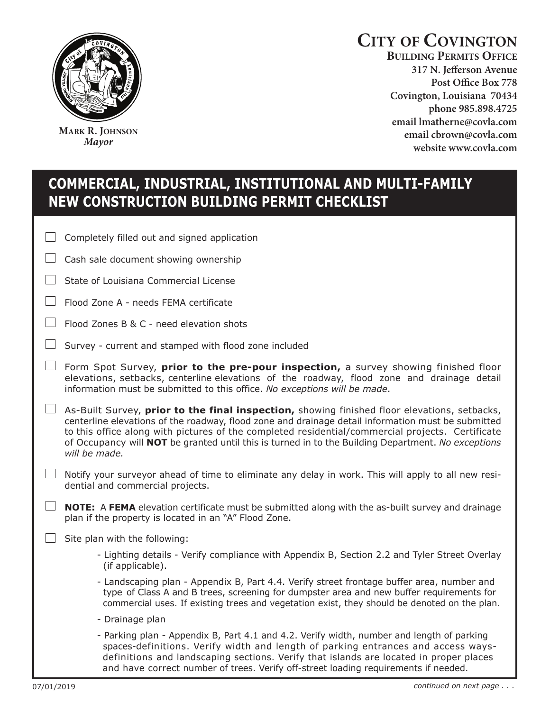

**MARK R. JOHNSON** *Mayor*

## **CITY OF COVINGTON**

**BUILDING PERMITS OFFICE 317 N. Jefferson Avenue**  Covington, Louisiana 70434 phone 985.898.4725 email lmatherne@covla.com **email chrown@covla.com** website www.covla.com

## **cOMMErciAl, iNdusTriAl, iNsTiTuTiONAl ANd MulTi-FAMily NEw cONsTrucTiON buildiNg pErMiT chEcklisT**

| Completely filled out and signed application |  |  |  |
|----------------------------------------------|--|--|--|
|                                              |  |  |  |

- $\Box$ State of Louisiana Commercial License
- Flood Zone A needs FEMA certificate
- $\Box$  Flood Zones B & C need elevation shots
- $\Box$  Survey current and stamped with flood zone included
- Form Spot Survey, **prior to the pre-pour inspection,** a survey showing finished floor elevations, setbacks, centerline elevations of the roadway, flood zone and drainage detail information must be submitted to this office. *No exceptions will be made*.
- As-Built Survey, **prior to the final inspection,** showing finished floor elevations, setbacks, centerline elevations of the roadway, flood zone and drainage detail information must be submitted to this office along with pictures of the completed residential/commercial projects. Certificate of Occupancy will **NOT** be granted until this is turned in to the Building Department. *No exceptions will be made.*
- $\Box$  Notify your surveyor ahead of time to eliminate any delay in work. This will apply to all new residential and commercial projects.
- $\Box$  **NOTE:** A FEMA elevation certificate must be submitted along with the as-built survey and drainage plan if the property is located in an "A" Flood Zone.
- $\Box$  Site plan with the following:
	- Lighting details Verify compliance with Appendix B, Section 2.2 and Tyler Street Overlay (if applicable).
	- Landscaping plan Appendix B, Part 4.4. Verify street frontage buffer area, number and type of Class A and B trees, screening for dumpster area and new buffer requirements for commercial uses. If existing trees and vegetation exist, they should be denoted on the plan.
	- Drainage plan
	- Parking plan Appendix B, Part 4.1 and 4.2. Verify width, number and length of parking spaces-definitions. Verify width and length of parking entrances and access ways definitions and landscaping sections. Verify that islands are located in proper places and have correct number of trees. Verify off-street loading requirements if needed.